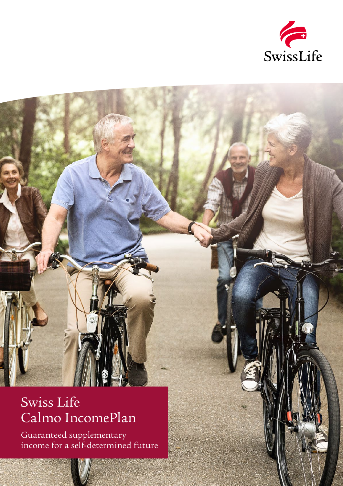

### Swiss Life Calmo IncomePlan

Guaranteed supplementary income for a self-determined future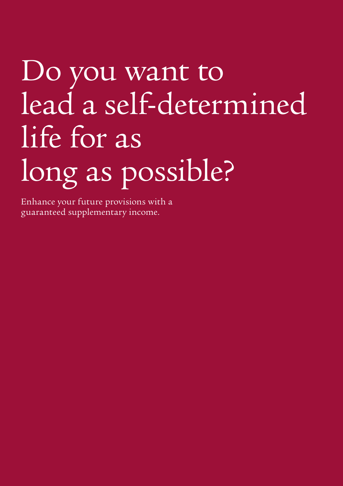# Do you want to lead a self-determined life for as long as possible?

Enhance your future provisions with a guaranteed supplementary income.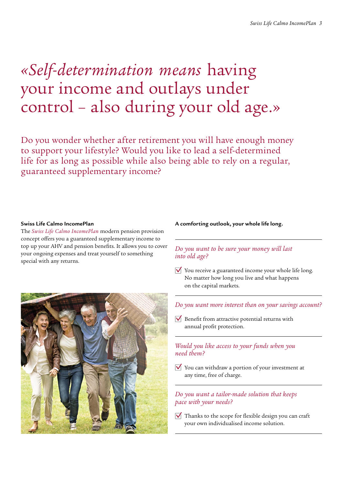### *«Self-determination means* having your income and outlays under control – also during your old age.»

Do you wonder whether after retirement you will have enough money to support your lifestyle? Would you like to lead a self-determined life for as long as possible while also being able to rely on a regular, guaranteed supplementary income?

#### **Swiss Life Calmo IncomePlan**

The *Swiss Life Calmo IncomePlan* modern pension provision concept offers you a guaranteed supplementary income to top up your AHV and pension benefits. It allows you to cover your ongoing expenses and treat yourself to something special with any returns.



#### **A comforting outlook, your whole life long.**

#### *Do you want to be sure your money will last into old age?*

- $\triangledown$  You receive a guaranteed income your whole life long. No matter how long you live and what happens on the capital markets.
- *Do you want more interest than on your savings account?*
- $\overline{V}$  Benefit from attractive potential returns with annual profit protection.

#### *Would you like access to your funds when you need them?*

 $\forall$  You can withdraw a portion of your investment at any time, free of charge.

#### *Do you want a tailor-made solution that keeps pace with your needs?*

 $\triangledown$  Thanks to the scope for flexible design you can craft your own individualised income solution.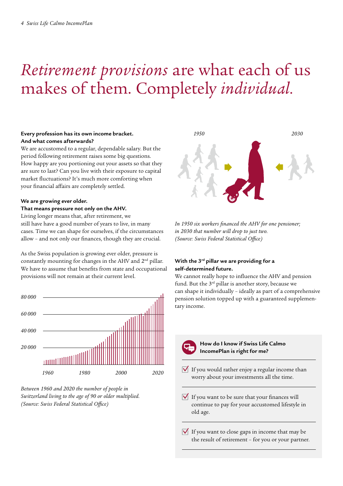## *Retirement provisions* are what each of us makes of them. Completely *individual.*

#### **Every profession has its own income bracket. And what comes afterwards?**

We are accustomed to a regular, dependable salary. But the period following retirement raises some big questions. How happy are you portioning out your assets so that they are sure to last? Can you live with their exposure to capital market fluctuations? It's much more comforting when your financial affairs are completely settled.

#### **We are growing ever older. That means pressure not only on the AHV.**

Living longer means that, after retirement, we still have have a good number of years to live, in many cases. Time we can shape for ourselves, if the circumstances allow – and not only our finances, though they are crucial.

As the Swiss population is growing ever older, pressure is constantly mounting for changes in the AHV and 2nd pillar. We have to assume that benefits from state and occupational provisions will not remain at their current level.



*Between 1960 and 2020 the number of people in Switzerland living to the age of 90 or older multiplied. (Source: Swiss Federal Statistical Office)*



*In 1950 six workers financed the AHV for one pensioner; in 2030 that number will drop to just two. (Source: Swiss Federal Statistical Office)*

#### **With the 3rd pillar we are providing for a self-determined future.**

We cannot really hope to influence the AHV and pension fund. But the 3<sup>rd</sup> pillar is another story, because we can shape it individually – ideally as part of a comprehensive pension solution topped up with a guaranteed supplementary income.



**How do I know if Swiss Life Calmo IncomePlan is right for me?**

- $\overline{V}$  If you would rather enjoy a regular income than worry about your investments all the time.
- $\sqrt{\phantom{a}}$  If you want to be sure that your finances will continue to pay for your accustomed lifestyle in old age.
- $\overrightarrow{V}$  If you want to close gaps in income that may be the result of retirement – for you or your partner.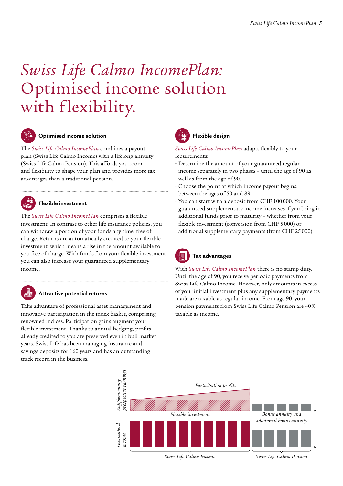### *Swiss Life Calmo IncomePlan:* Optimised income solution with flexibility.



#### **Optimised income solution**

The *Swiss Life Calmo IncomePlan* combines a payout plan (Swiss Life Calmo Income) with a lifelong annuity (Swiss Life Calmo Pension). This affords you room and flexibility to shape your plan and provides more tax advantages than a traditional pension.



#### **Flexible investment**

The *Swiss Life Calmo IncomePlan* comprises a flexible investment. In contrast to other life insurance policies, you can withdraw a portion of your funds any time, free of charge. Returns are automatically credited to your flexible investment, which means a rise in the amount available to you free of charge. With funds from your flexible investment you can also increase your guaranteed supplementary income.

#### **Attractive potential returns**

Take advantage of professional asset management and innovative participation in the index basket, comprising renowned indices. Participation gains augment your flexible investment. Thanks to annual hedging, profits already credited to you are preserved even in bull market years. Swiss Life has been managing insurance and savings deposits for 160 years and has an outstanding track record in the business.



#### **Flexible design**

*Swiss Life Calmo IncomePlan* adapts flexibly to your requirements:

- **Determine the amount of your guaranteed regular** income separately in two phases – until the age of 90 as well as from the age of 90.
- **ɬ** Choose the point at which income payout begins, between the ages of 50 and 89.
- **ɬ** You can start with a deposit from CHF 100000. Your guaranteed supplementary income increases if you bring in additional funds prior to maturity – whether from your flexible investment (conversion from CHF 5000) or additional supplementary payments (from CHF 25000).



#### **Tax advantages**

With *Swiss Life Calmo IncomePlan* there is no stamp duty. Until the age of 90, you receive periodic payments from Swiss Life Calmo Income. However, only amounts in excess of your initial investment plus any supplementary payments made are taxable as regular income. From age 90, your pension payments from Swiss Life Calmo Pension are 40% taxable as income.

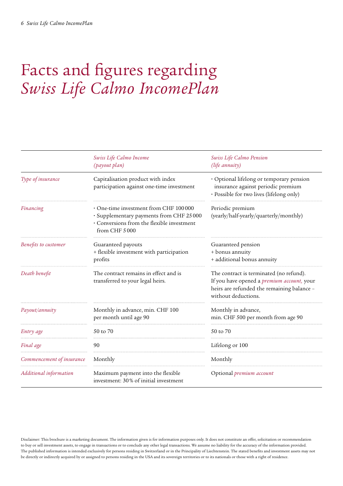### Facts and figures regarding *Swiss Life Calmo IncomePlan*

|                           | Swiss Life Calmo Income<br>(payout plan)                                                                                                        | Swiss Life Calmo Pension<br>(life annuity)                                                                                                                        |
|---------------------------|-------------------------------------------------------------------------------------------------------------------------------------------------|-------------------------------------------------------------------------------------------------------------------------------------------------------------------|
| Type of insurance         | Capitalisation product with index<br>participation against one-time investment                                                                  | · Optional lifelong or temporary pension<br>insurance against periodic premium<br>· Possible for two lives (lifelong only)                                        |
| Financing                 | • One-time investment from CHF 100000<br>· Supplementary payments from CHF 25000<br>· Conversions from the flexible investment<br>from CHF 5000 | Periodic premium<br>(yearly/half-yearly/quarterly/monthly)                                                                                                        |
| Benefits to customer      | Guaranteed payouts<br>+ flexible investment with participation<br>profits                                                                       | Guaranteed pension<br>+ bonus annuity<br>+ additional bonus annuity                                                                                               |
| Death benefit             | The contract remains in effect and is<br>transferred to your legal heirs.                                                                       | The contract is terminated (no refund).<br>If you have opened a <i>premium account</i> , your<br>heirs are refunded the remaining balance -<br>without deductions |
| Payout/annuity            | Monthly in advance, min. CHF 100<br>per month until age 90                                                                                      | Monthly in advance,<br>min. CHF 500 per month from age 90                                                                                                         |
| Entry age                 | 50 to 70                                                                                                                                        | 50 to 70                                                                                                                                                          |
| Final age                 | 90                                                                                                                                              | Lifelong or 100                                                                                                                                                   |
| Commencement of insurance | Monthly                                                                                                                                         | Monthly                                                                                                                                                           |
| Additional information    | Maximum payment into the flexible<br>investment: 30% of initial investment                                                                      | Optional <i>premium</i> account                                                                                                                                   |

Disclaimer: This brochure is a marketing document. The information given is for information purposes only. It does not constitute an offer, solicitation or recommendation to buy or sell investment assets, to engage in transactions or to conclude any other legal transactions. We assume no liability for the accuracy of the information provided. The published information is intended exclusively for persons residing in Switzerland or in the Principality of Liechtenstein. The stated benefits and investment assets may not be directly or indirectly acquired by or assigned to persons residing in the USA and its sovereign territories or to its nationals or those with a right of residence.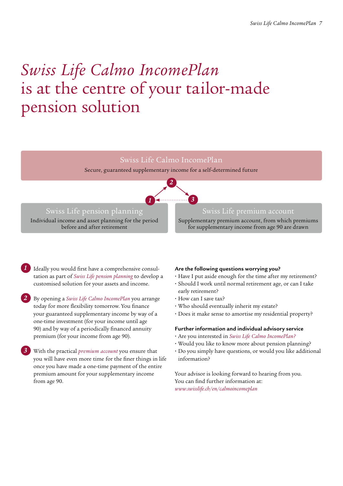### *Swiss Life Calmo IncomePlan*  is at the centre of your tailor-made pension solution

#### Swiss Life Calmo IncomePlan

Secure, guaranteed supplementary income for a self-determined future



#### Swiss Life pension planning

Individual income and asset planning for the period before and after retirement

#### Swiss Life premium account

Supplementary premium account, from which premiums for supplementary income from age 90 are drawn

- *1* Ideally you would first have a comprehensive consultation as part of *Swiss Life pension planning* to develop a customised solution for your assets and income.
- *2* By opening a *Swiss Life Calmo IncomePlan* you arrange today for more flexibility tomorrow. You finance your guaranteed supplementary income by way of a one-time investment (for your income until age 90) and by way of a periodically financed annuity premium (for your income from age 90).
- *3* With the practical *premium account* you ensure that you will have even more time for the finer things in life once you have made a one-time payment of the entire premium amount for your supplementary income from age 90.

#### **Are the following questions worrying you?**

- **ɬ** Have I put aside enough for the time after my retirement?
- **ɬ** Should I work until normal retirement age, or can I take early retirement?
- **ɬ** How can I save tax?
- **ɬ** Who should eventually inherit my estate?
- **ɬ** Does it make sense to amortise my residential property?

#### **Further information and individual advisory service**

- **ɬ** Are you interested in *Swiss Life Calmo IncomePlan?*
- **ɬ** Would you like to know more about pension planning?
- **ɬ** Do you simply have questions, or would you like additional information?

Your advisor is looking forward to hearing from you. You can find further information at: *www.swisslife.ch/en/calmoincomeplan*